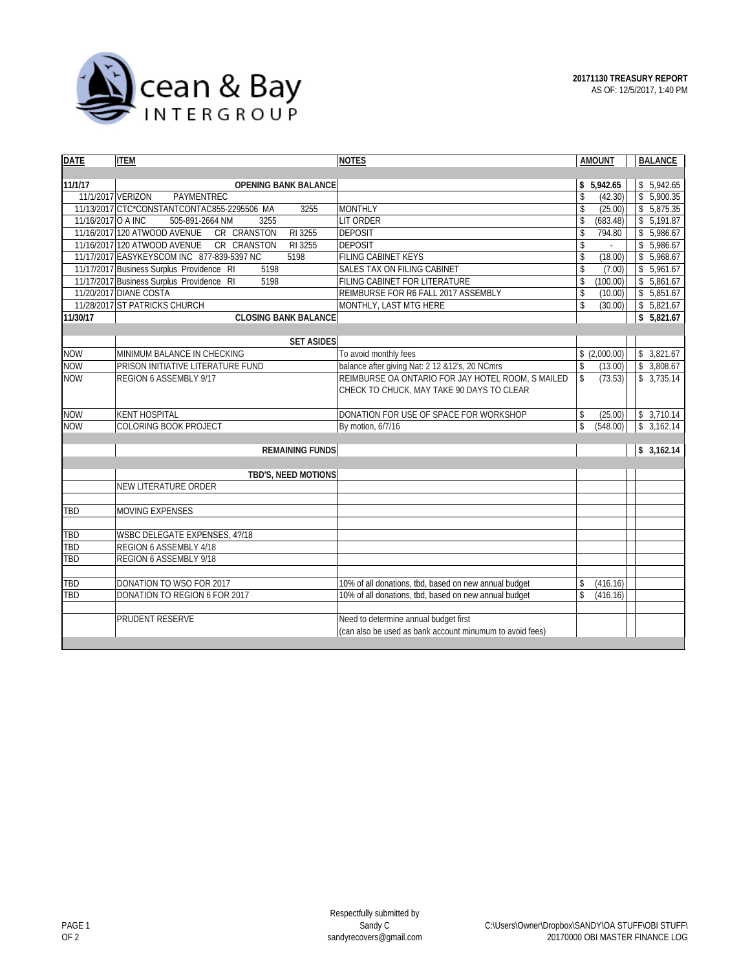

| <b>DATE</b><br><b>ITEM</b>                             | <b>NOTES</b>                                             | <b>AMOUNT</b>            | <b>BALANCE</b> |  |  |  |  |  |  |
|--------------------------------------------------------|----------------------------------------------------------|--------------------------|----------------|--|--|--|--|--|--|
|                                                        |                                                          |                          |                |  |  |  |  |  |  |
| 11/1/17<br><b>OPENING BANK BALANCE</b>                 |                                                          | \$5,942.65               | \$5,942.65     |  |  |  |  |  |  |
| 11/1/2017 VERIZON<br>PAYMENTREC                        |                                                          | \$<br>(42.30)            | \$5,900.35     |  |  |  |  |  |  |
| 11/13/2017 CTC*CONSTANTCONTAC855-2295506 MA<br>3255    | <b>MONTHLY</b>                                           | \$<br>(25.00)            | \$5,875.35     |  |  |  |  |  |  |
| 11/16/2017 O A INC<br>505-891-2664 NM<br>3255          | LIT ORDER                                                | \$<br>(683.48)           | \$5,191.87     |  |  |  |  |  |  |
| CR CRANSTON<br>11/16/2017 120 ATWOOD AVENUE<br>RI 3255 | <b>DEPOSIT</b>                                           | \$<br>794.80             | \$5.986.67     |  |  |  |  |  |  |
| CR CRANSTON<br>11/16/2017 120 ATWOOD AVENUE<br>RI 3255 | <b>DEPOSIT</b>                                           | \$                       | \$5,986.67     |  |  |  |  |  |  |
| 5198<br>11/17/2017 EASYKEYSCOM INC 877-839-5397 NC     | FILING CABINET KEYS                                      | \$<br>(18.00)            | \$5,968.67     |  |  |  |  |  |  |
| 5198<br>11/17/2017 Business Surplus Providence RI      | <b>SALES TAX ON FILING CABINET</b>                       | \$<br>(7.00)             | \$5,961.67     |  |  |  |  |  |  |
| 11/17/2017 Business Surplus Providence RI<br>5198      | FILING CABINET FOR LITERATURE                            | \$<br>(100.00)           | \$5,861.67     |  |  |  |  |  |  |
| 11/20/2017 DIANE COSTA                                 | REIMBURSE FOR R6 FALL 2017 ASSEMBLY                      | \$<br>(10.00)            | \$5,851.67     |  |  |  |  |  |  |
| 11/28/2017 ST PATRICKS CHURCH                          | MONTHLY, LAST MTG HERE                                   | $\mathsf{\$}$<br>(30.00) | \$5,821.67     |  |  |  |  |  |  |
| <b>CLOSING BANK BALANCE</b><br>11/30/17                |                                                          |                          | \$5,821.67     |  |  |  |  |  |  |
|                                                        |                                                          |                          |                |  |  |  |  |  |  |
| <b>SET ASIDES</b>                                      |                                                          |                          |                |  |  |  |  |  |  |
| MINIMUM BALANCE IN CHECKING<br><b>NOW</b>              | To avoid monthly fees                                    | \$(2,000.00)             | \$3,821.67     |  |  |  |  |  |  |
| <b>NOW</b><br>PRISON INITIATIVE LITERATURE FUND        | balance after giving Nat: 2 12 & 12's, 20 NCmrs          | \$<br>(13.00)            | \$3,808.67     |  |  |  |  |  |  |
| <b>NOW</b><br>REGION 6 ASSEMBLY 9/17                   | REIMBURSE OA ONTARIO FOR JAY HOTEL ROOM, S MAILED        | $\mathsf S$<br>(73.53)   | \$3,735.14     |  |  |  |  |  |  |
|                                                        | CHECK TO CHUCK, MAY TAKE 90 DAYS TO CLEAR                |                          |                |  |  |  |  |  |  |
|                                                        |                                                          |                          |                |  |  |  |  |  |  |
| <b>NOW</b><br><b>KENT HOSPITAL</b>                     | DONATION FOR USE OF SPACE FOR WORKSHOP                   | (25.00)<br>\$            | 3,710.14<br>\$ |  |  |  |  |  |  |
| <b>NOW</b><br>COLORING BOOK PROJECT                    | By motion, 6/7/16                                        | $\mathbb S$<br>(548.00)  | 3,162.14<br>\$ |  |  |  |  |  |  |
|                                                        |                                                          |                          |                |  |  |  |  |  |  |
|                                                        | <b>REMAINING FUNDS</b>                                   |                          |                |  |  |  |  |  |  |
|                                                        |                                                          |                          |                |  |  |  |  |  |  |
| TBD'S, NEED MOTIONS                                    |                                                          |                          |                |  |  |  |  |  |  |
| NEW LITERATURE ORDER                                   |                                                          |                          |                |  |  |  |  |  |  |
|                                                        |                                                          |                          |                |  |  |  |  |  |  |
| <b>MOVING EXPENSES</b><br>TBD                          |                                                          |                          |                |  |  |  |  |  |  |
|                                                        |                                                          |                          |                |  |  |  |  |  |  |
| TBD<br>WSBC DELEGATE EXPENSES, 4?/18                   |                                                          |                          |                |  |  |  |  |  |  |
| TBD<br>REGION 6 ASSEMBLY 4/18                          |                                                          |                          |                |  |  |  |  |  |  |
| TBD<br>REGION 6 ASSEMBLY 9/18                          |                                                          |                          |                |  |  |  |  |  |  |
|                                                        |                                                          |                          |                |  |  |  |  |  |  |
| DONATION TO WSO FOR 2017<br>TBD                        | 10% of all donations, tbd, based on new annual budget    | (416.16)<br>\$           |                |  |  |  |  |  |  |
| TBD<br>DONATION TO REGION 6 FOR 2017                   | 10% of all donations, tbd, based on new annual budget    | (416.16)<br>\$           |                |  |  |  |  |  |  |
|                                                        |                                                          |                          |                |  |  |  |  |  |  |
| PRUDENT RESERVE                                        | Need to determine annual budget first                    |                          |                |  |  |  |  |  |  |
|                                                        | (can also be used as bank account minumum to avoid fees) |                          |                |  |  |  |  |  |  |